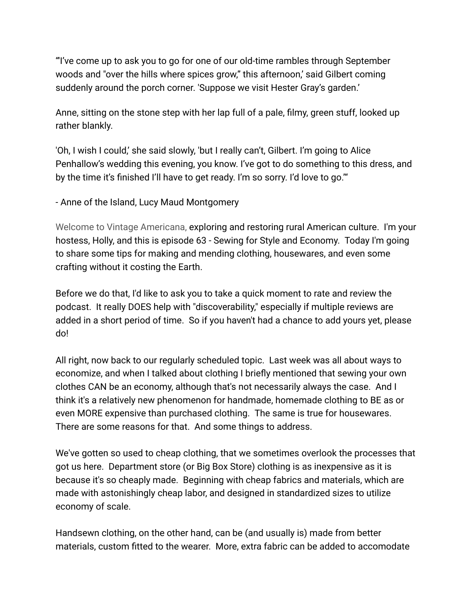"'I've come up to ask you to go for one of our old-time rambles through September woods and "over the hills where spices grow," this afternoon,' said Gilbert coming suddenly around the porch corner. 'Suppose we visit Hester Gray's garden.'

Anne, sitting on the stone step with her lap full of a pale, filmy, green stuff, looked up rather blankly.

'Oh, I wish I could,' she said slowly, 'but I really can't, Gilbert. I'm going to Alice Penhallow's wedding this evening, you know. I've got to do something to this dress, and by the time it's finished I'll have to get ready. I'm so sorry. I'd love to go.'"

- Anne of the Island, Lucy Maud Montgomery

Welcome to Vintage Americana, exploring and restoring rural American culture. I'm your hostess, Holly, and this is episode 63 - Sewing for Style and Economy. Today I'm going to share some tips for making and mending clothing, housewares, and even some crafting without it costing the Earth.

Before we do that, I'd like to ask you to take a quick moment to rate and review the podcast. It really DOES help with "discoverability," especially if multiple reviews are added in a short period of time. So if you haven't had a chance to add yours yet, please do!

All right, now back to our regularly scheduled topic. Last week was all about ways to economize, and when I talked about clothing I briefly mentioned that sewing your own clothes CAN be an economy, although that's not necessarily always the case. And I think it's a relatively new phenomenon for handmade, homemade clothing to BE as or even MORE expensive than purchased clothing. The same is true for housewares. There are some reasons for that. And some things to address.

We've gotten so used to cheap clothing, that we sometimes overlook the processes that got us here. Department store (or Big Box Store) clothing is as inexpensive as it is because it's so cheaply made. Beginning with cheap fabrics and materials, which are made with astonishingly cheap labor, and designed in standardized sizes to utilize economy of scale.

Handsewn clothing, on the other hand, can be (and usually is) made from better materials, custom fitted to the wearer. More, extra fabric can be added to accomodate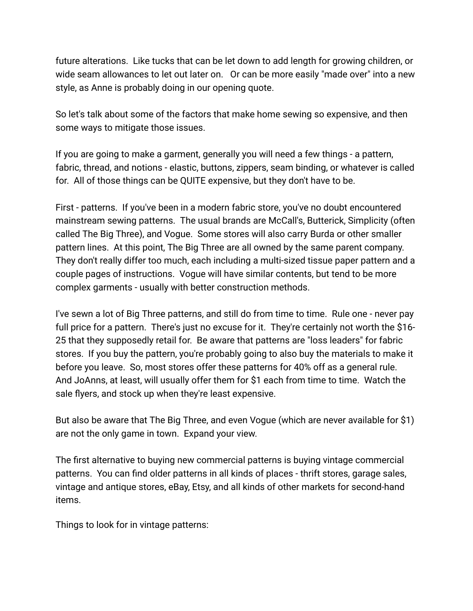future alterations. Like tucks that can be let down to add length for growing children, or wide seam allowances to let out later on. Or can be more easily "made over" into a new style, as Anne is probably doing in our opening quote.

So let's talk about some of the factors that make home sewing so expensive, and then some ways to mitigate those issues.

If you are going to make a garment, generally you will need a few things - a pattern, fabric, thread, and notions - elastic, buttons, zippers, seam binding, or whatever is called for. All of those things can be QUITE expensive, but they don't have to be.

First - patterns. If you've been in a modern fabric store, you've no doubt encountered mainstream sewing patterns. The usual brands are McCall's, Butterick, Simplicity (often called The Big Three), and Vogue. Some stores will also carry Burda or other smaller pattern lines. At this point, The Big Three are all owned by the same parent company. They don't really differ too much, each including a multi-sized tissue paper pattern and a couple pages of instructions. Vogue will have similar contents, but tend to be more complex garments - usually with better construction methods.

I've sewn a lot of Big Three patterns, and still do from time to time. Rule one - never pay full price for a pattern. There's just no excuse for it. They're certainly not worth the \$16-25 that they supposedly retail for. Be aware that patterns are "loss leaders" for fabric stores. If you buy the pattern, you're probably going to also buy the materials to make it before you leave. So, most stores offer these patterns for 40% off as a general rule. And JoAnns, at least, will usually offer them for \$1 each from time to time. Watch the sale flyers, and stock up when they're least expensive.

But also be aware that The Big Three, and even Vogue (which are never available for \$1) are not the only game in town. Expand your view.

The first alternative to buying new commercial patterns is buying vintage commercial patterns. You can find older patterns in all kinds of places - thrift stores, garage sales, vintage and antique stores, eBay, Etsy, and all kinds of other markets for second-hand items.

Things to look for in vintage patterns: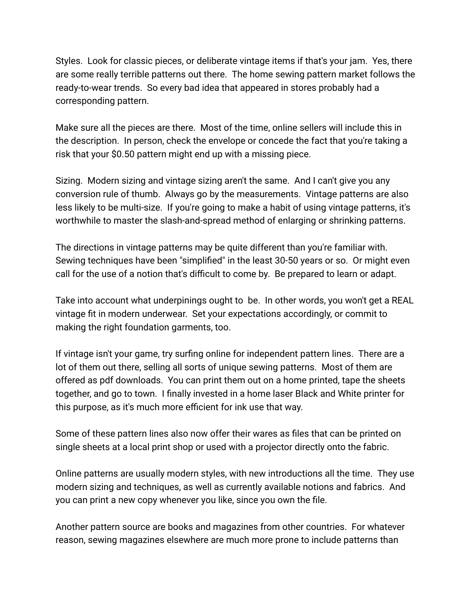Styles. Look for classic pieces, or deliberate vintage items if that's your jam. Yes, there are some really terrible patterns out there. The home sewing pattern market follows the ready-to-wear trends. So every bad idea that appeared in stores probably had a corresponding pattern.

Make sure all the pieces are there. Most of the time, online sellers will include this in the description. In person, check the envelope or concede the fact that you're taking a risk that your \$0.50 pattern might end up with a missing piece.

Sizing. Modern sizing and vintage sizing aren't the same. And I can't give you any conversion rule of thumb. Always go by the measurements. Vintage patterns are also less likely to be multi-size. If you're going to make a habit of using vintage patterns, it's worthwhile to master the slash-and-spread method of enlarging or shrinking patterns.

The directions in vintage patterns may be quite different than you're familiar with. Sewing techniques have been "simplified" in the least 30-50 years or so. Or might even call for the use of a notion that's difficult to come by. Be prepared to learn or adapt.

Take into account what underpinings ought to be. In other words, you won't get a REAL vintage fit in modern underwear. Set your expectations accordingly, or commit to making the right foundation garments, too.

If vintage isn't your game, try surfing online for independent pattern lines. There are a lot of them out there, selling all sorts of unique sewing patterns. Most of them are offered as pdf downloads. You can print them out on a home printed, tape the sheets together, and go to town. I finally invested in a home laser Black and White printer for this purpose, as it's much more efficient for ink use that way.

Some of these pattern lines also now offer their wares as files that can be printed on single sheets at a local print shop or used with a projector directly onto the fabric.

Online patterns are usually modern styles, with new introductions all the time. They use modern sizing and techniques, as well as currently available notions and fabrics. And you can print a new copy whenever you like, since you own the file.

Another pattern source are books and magazines from other countries. For whatever reason, sewing magazines elsewhere are much more prone to include patterns than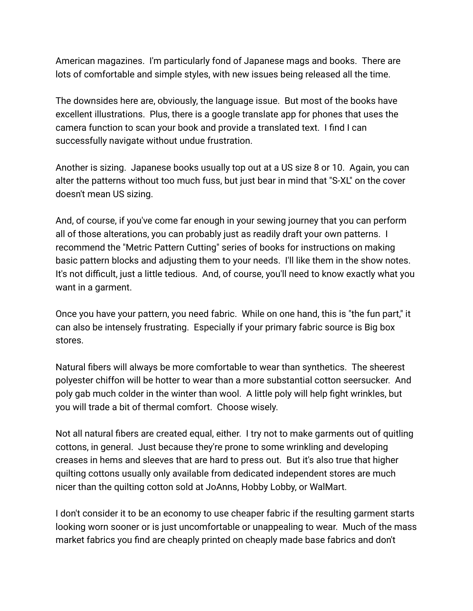American magazines. I'm particularly fond of Japanese mags and books. There are lots of comfortable and simple styles, with new issues being released all the time.

The downsides here are, obviously, the language issue. But most of the books have excellent illustrations. Plus, there is a google translate app for phones that uses the camera function to scan your book and provide a translated text. I find I can successfully navigate without undue frustration.

Another is sizing. Japanese books usually top out at a US size 8 or 10. Again, you can alter the patterns without too much fuss, but just bear in mind that "S-XL" on the cover doesn't mean US sizing.

And, of course, if you've come far enough in your sewing journey that you can perform all of those alterations, you can probably just as readily draft your own patterns. I recommend the "Metric Pattern Cutting" series of books for instructions on making basic pattern blocks and adjusting them to your needs. I'll like them in the show notes. It's not difficult, just a little tedious. And, of course, you'll need to know exactly what you want in a garment.

Once you have your pattern, you need fabric. While on one hand, this is "the fun part," it can also be intensely frustrating. Especially if your primary fabric source is Big box stores.

Natural fibers will always be more comfortable to wear than synthetics. The sheerest polyester chiffon will be hotter to wear than a more substantial cotton seersucker. And poly gab much colder in the winter than wool. A little poly will help fight wrinkles, but you will trade a bit of thermal comfort. Choose wisely.

Not all natural fibers are created equal, either. I try not to make garments out of quitling cottons, in general. Just because they're prone to some wrinkling and developing creases in hems and sleeves that are hard to press out. But it's also true that higher quilting cottons usually only available from dedicated independent stores are much nicer than the quilting cotton sold at JoAnns, Hobby Lobby, or WalMart.

I don't consider it to be an economy to use cheaper fabric if the resulting garment starts looking worn sooner or is just uncomfortable or unappealing to wear. Much of the mass market fabrics you find are cheaply printed on cheaply made base fabrics and don't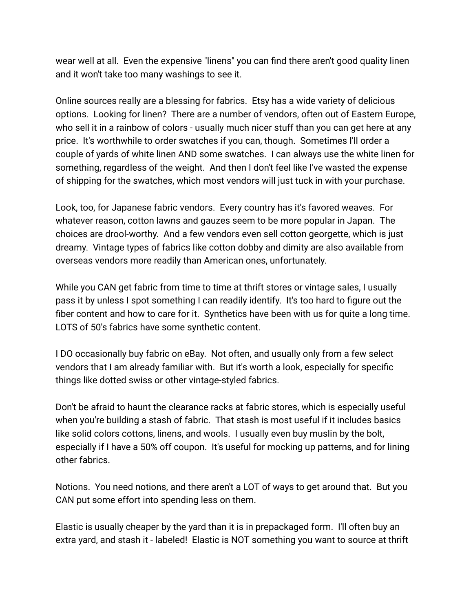wear well at all. Even the expensive "linens" you can find there aren't good quality linen and it won't take too many washings to see it.

Online sources really are a blessing for fabrics. Etsy has a wide variety of delicious options. Looking for linen? There are a number of vendors, often out of Eastern Europe, who sell it in a rainbow of colors - usually much nicer stuff than you can get here at any price. It's worthwhile to order swatches if you can, though. Sometimes I'll order a couple of yards of white linen AND some swatches. I can always use the white linen for something, regardless of the weight. And then I don't feel like I've wasted the expense of shipping for the swatches, which most vendors will just tuck in with your purchase.

Look, too, for Japanese fabric vendors. Every country has it's favored weaves. For whatever reason, cotton lawns and gauzes seem to be more popular in Japan. The choices are drool-worthy. And a few vendors even sell cotton georgette, which is just dreamy. Vintage types of fabrics like cotton dobby and dimity are also available from overseas vendors more readily than American ones, unfortunately.

While you CAN get fabric from time to time at thrift stores or vintage sales, I usually pass it by unless I spot something I can readily identify. It's too hard to figure out the fiber content and how to care for it. Synthetics have been with us for quite a long time. LOTS of 50's fabrics have some synthetic content.

I DO occasionally buy fabric on eBay. Not often, and usually only from a few select vendors that I am already familiar with. But it's worth a look, especially for specific things like dotted swiss or other vintage-styled fabrics.

Don't be afraid to haunt the clearance racks at fabric stores, which is especially useful when you're building a stash of fabric. That stash is most useful if it includes basics like solid colors cottons, linens, and wools. I usually even buy muslin by the bolt, especially if I have a 50% off coupon. It's useful for mocking up patterns, and for lining other fabrics.

Notions. You need notions, and there aren't a LOT of ways to get around that. But you CAN put some effort into spending less on them.

Elastic is usually cheaper by the yard than it is in prepackaged form. I'll often buy an extra yard, and stash it - labeled! Elastic is NOT something you want to source at thrift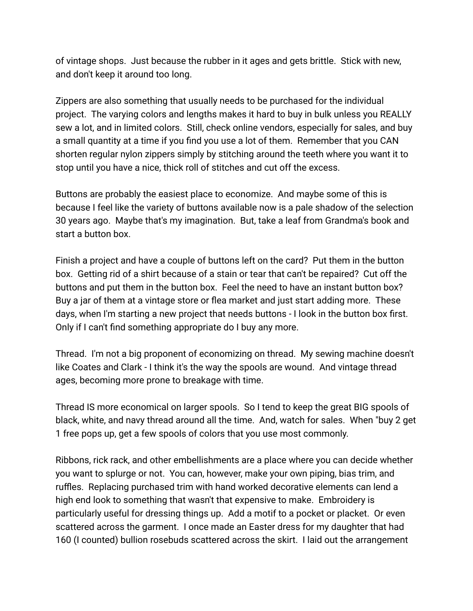of vintage shops. Just because the rubber in it ages and gets brittle. Stick with new, and don't keep it around too long.

Zippers are also something that usually needs to be purchased for the individual project. The varying colors and lengths makes it hard to buy in bulk unless you REALLY sew a lot, and in limited colors. Still, check online vendors, especially for sales, and buy a small quantity at a time if you find you use a lot of them. Remember that you CAN shorten regular nylon zippers simply by stitching around the teeth where you want it to stop until you have a nice, thick roll of stitches and cut off the excess.

Buttons are probably the easiest place to economize. And maybe some of this is because I feel like the variety of buttons available now is a pale shadow of the selection 30 years ago. Maybe that's my imagination. But, take a leaf from Grandma's book and start a button box.

Finish a project and have a couple of buttons left on the card? Put them in the button box. Getting rid of a shirt because of a stain or tear that can't be repaired? Cut off the buttons and put them in the button box. Feel the need to have an instant button box? Buy a jar of them at a vintage store or flea market and just start adding more. These days, when I'm starting a new project that needs buttons - I look in the button box first. Only if I can't find something appropriate do I buy any more.

Thread. I'm not a big proponent of economizing on thread. My sewing machine doesn't like Coates and Clark - I think it's the way the spools are wound. And vintage thread ages, becoming more prone to breakage with time.

Thread IS more economical on larger spools. So I tend to keep the great BIG spools of black, white, and navy thread around all the time. And, watch for sales. When "buy 2 get 1 free pops up, get a few spools of colors that you use most commonly.

Ribbons, rick rack, and other embellishments are a place where you can decide whether you want to splurge or not. You can, however, make your own piping, bias trim, and ruffles. Replacing purchased trim with hand worked decorative elements can lend a high end look to something that wasn't that expensive to make. Embroidery is particularly useful for dressing things up. Add a motif to a pocket or placket. Or even scattered across the garment. I once made an Easter dress for my daughter that had 160 (I counted) bullion rosebuds scattered across the skirt. I laid out the arrangement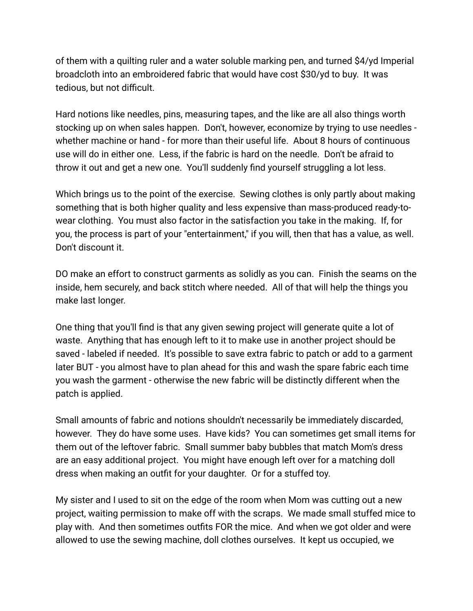of them with a quilting ruler and a water soluble marking pen, and turned \$4/yd Imperial broadcloth into an embroidered fabric that would have cost \$30/yd to buy. It was tedious, but not difficult.

Hard notions like needles, pins, measuring tapes, and the like are all also things worth stocking up on when sales happen. Don't, however, economize by trying to use needles whether machine or hand - for more than their useful life. About 8 hours of continuous use will do in either one. Less, if the fabric is hard on the needle. Don't be afraid to throw it out and get a new one. You'll suddenly find yourself struggling a lot less.

Which brings us to the point of the exercise. Sewing clothes is only partly about making something that is both higher quality and less expensive than mass-produced ready-towear clothing. You must also factor in the satisfaction you take in the making. If, for you, the process is part of your "entertainment," if you will, then that has a value, as well. Don't discount it.

DO make an effort to construct garments as solidly as you can. Finish the seams on the inside, hem securely, and back stitch where needed. All of that will help the things you make last longer.

One thing that you'll find is that any given sewing project will generate quite a lot of waste. Anything that has enough left to it to make use in another project should be saved - labeled if needed. It's possible to save extra fabric to patch or add to a garment later BUT - you almost have to plan ahead for this and wash the spare fabric each time you wash the garment - otherwise the new fabric will be distinctly different when the patch is applied.

Small amounts of fabric and notions shouldn't necessarily be immediately discarded, however. They do have some uses. Have kids? You can sometimes get small items for them out of the leftover fabric. Small summer baby bubbles that match Mom's dress are an easy additional project. You might have enough left over for a matching doll dress when making an outfit for your daughter. Or for a stuffed toy.

My sister and I used to sit on the edge of the room when Mom was cutting out a new project, waiting permission to make off with the scraps. We made small stuffed mice to play with. And then sometimes outfits FOR the mice. And when we got older and were allowed to use the sewing machine, doll clothes ourselves. It kept us occupied, we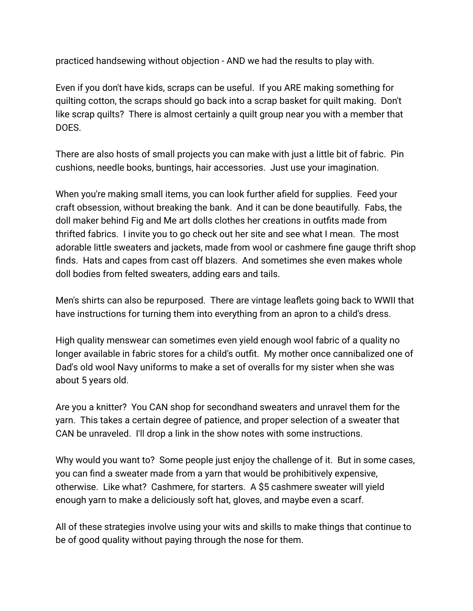practiced handsewing without objection - AND we had the results to play with.

Even if you don't have kids, scraps can be useful. If you ARE making something for quilting cotton, the scraps should go back into a scrap basket for quilt making. Don't like scrap quilts? There is almost certainly a quilt group near you with a member that DOES.

There are also hosts of small projects you can make with just a little bit of fabric. Pin cushions, needle books, buntings, hair accessories. Just use your imagination.

When you're making small items, you can look further afield for supplies. Feed your craft obsession, without breaking the bank. And it can be done beautifully. Fabs, the doll maker behind Fig and Me art dolls clothes her creations in outfits made from thrifted fabrics. I invite you to go check out her site and see what I mean. The most adorable little sweaters and jackets, made from wool or cashmere fine gauge thrift shop finds. Hats and capes from cast off blazers. And sometimes she even makes whole doll bodies from felted sweaters, adding ears and tails.

Men's shirts can also be repurposed. There are vintage leaflets going back to WWII that have instructions for turning them into everything from an apron to a child's dress.

High quality menswear can sometimes even yield enough wool fabric of a quality no longer available in fabric stores for a child's outfit. My mother once cannibalized one of Dad's old wool Navy uniforms to make a set of overalls for my sister when she was about 5 years old.

Are you a knitter? You CAN shop for secondhand sweaters and unravel them for the yarn. This takes a certain degree of patience, and proper selection of a sweater that CAN be unraveled. I'll drop a link in the show notes with some instructions.

Why would you want to? Some people just enjoy the challenge of it. But in some cases, you can find a sweater made from a yarn that would be prohibitively expensive, otherwise. Like what? Cashmere, for starters. A \$5 cashmere sweater will yield enough yarn to make a deliciously soft hat, gloves, and maybe even a scarf.

All of these strategies involve using your wits and skills to make things that continue to be of good quality without paying through the nose for them.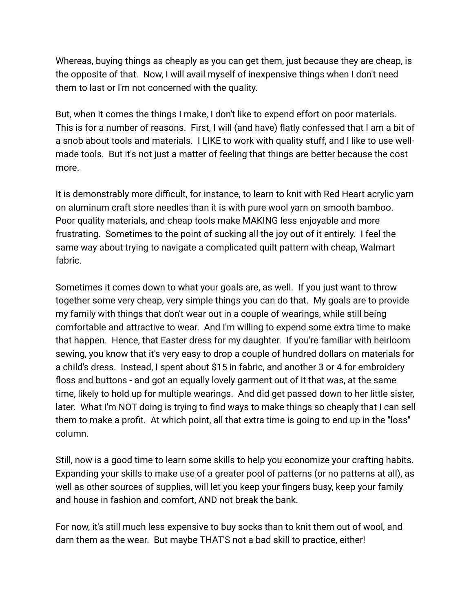Whereas, buying things as cheaply as you can get them, just because they are cheap, is the opposite of that. Now, I will avail myself of inexpensive things when I don't need them to last or I'm not concerned with the quality.

But, when it comes the things I make, I don't like to expend effort on poor materials. This is for a number of reasons. First, I will (and have) flatly confessed that I am a bit of a snob about tools and materials. I LIKE to work with quality stuff, and I like to use wellmade tools. But it's not just a matter of feeling that things are better because the cost more.

It is demonstrably more difficult, for instance, to learn to knit with Red Heart acrylic yarn on aluminum craft store needles than it is with pure wool yarn on smooth bamboo. Poor quality materials, and cheap tools make MAKING less enjoyable and more frustrating. Sometimes to the point of sucking all the joy out of it entirely. I feel the same way about trying to navigate a complicated quilt pattern with cheap, Walmart fabric.

Sometimes it comes down to what your goals are, as well. If you just want to throw together some very cheap, very simple things you can do that. My goals are to provide my family with things that don't wear out in a couple of wearings, while still being comfortable and attractive to wear. And I'm willing to expend some extra time to make that happen. Hence, that Easter dress for my daughter. If you're familiar with heirloom sewing, you know that it's very easy to drop a couple of hundred dollars on materials for a child's dress. Instead, I spent about \$15 in fabric, and another 3 or 4 for embroidery floss and buttons - and got an equally lovely garment out of it that was, at the same time, likely to hold up for multiple wearings. And did get passed down to her little sister, later. What I'm NOT doing is trying to find ways to make things so cheaply that I can sell them to make a profit. At which point, all that extra time is going to end up in the "loss" column.

Still, now is a good time to learn some skills to help you economize your crafting habits. Expanding your skills to make use of a greater pool of patterns (or no patterns at all), as well as other sources of supplies, will let you keep your fingers busy, keep your family and house in fashion and comfort, AND not break the bank.

For now, it's still much less expensive to buy socks than to knit them out of wool, and darn them as the wear. But maybe THAT'S not a bad skill to practice, either!